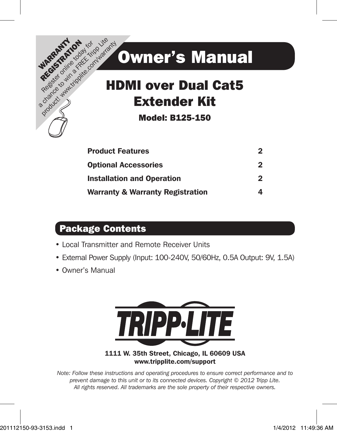

# HDMI over Dual Cat5 Extender Kit

Model: B125-150

| <b>Product Features</b>                     | 2 |
|---------------------------------------------|---|
| <b>Optional Accessories</b>                 | 2 |
| <b>Installation and Operation</b>           | 2 |
| <b>Warranty &amp; Warranty Registration</b> |   |

## Package Contents

- • Local Transmitter and Remote Receiver Units
- External Power Supply (Input: 100-240V, 50/60Hz, 0.5A Output: 9V, 1.5A)
- • Owner's Manual



#### 1111 W. 35th Street, Chicago, IL 60609 USA www.tripplite.com/support

1 *All rights reserved. All trademarks are the sole property of their respective owners. Note: Follow these instructions and operating procedures to ensure correct performance and to prevent damage to this unit or to its connected devices. Copyright © 2012 Tripp Lite.*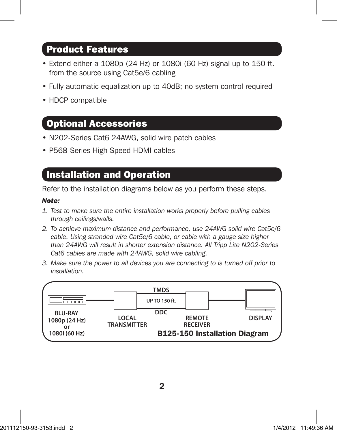### Product Features

- Extend either a 1080p (24 Hz) or 1080i (60 Hz) signal up to 150 ft. from the source using Cat5e/6 cabling
- Fully automatic equalization up to 40dB; no system control required
- HDCP compatible

### Optional Accessories

- N202-Series Cat6 24AWG, solid wire patch cables
- P568-Series High Speed HDMI cables

### Installation and Operation

Refer to the installation diagrams below as you perform these steps.

#### *Note:*

- *1. Test to make sure the entire installation works properly before pulling cables through ceilings/walls.*
- *2. To achieve maximum distance and performance, use 24AWG solid wire Cat5e/6 cable. Using stranded wire Cat5e/6 cable, or cable with a gauge size higher than 24AWG will result in shorter extension distance. All Tripp Lite N202-Series Cat6 cables are made with 24AWG, solid wire cabling.*
- *3. Make sure the power to all devices you are connecting to is turned off prior to installation.*

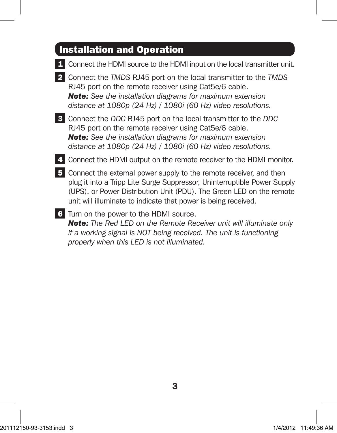# Installation and Operation

|    | Connect the HDMI source to the HDMI input on the local transmitter unit.                                                                                                                                                                                                                 |
|----|------------------------------------------------------------------------------------------------------------------------------------------------------------------------------------------------------------------------------------------------------------------------------------------|
|    | Connect the TMDS RJ45 port on the local transmitter to the TMDS<br>RJ45 port on the remote receiver using Cat5e/6 cable.<br><b>Note:</b> See the installation diagrams for maximum extension<br>distance at 1080p (24 Hz) / 1080i (60 Hz) video resolutions.                             |
| 3  | Connect the DDC RJ45 port on the local transmitter to the DDC<br>RJ45 port on the remote receiver using Cat5e/6 cable.<br><b>Note:</b> See the installation diagrams for maximum extension<br>distance at 1080p (24 Hz) / 1080i (60 Hz) video resolutions.                               |
|    | Connect the HDMI output on the remote receiver to the HDMI monitor.                                                                                                                                                                                                                      |
| 5. | Connect the external power supply to the remote receiver, and then<br>plug it into a Tripp Lite Surge Suppressor, Uninterruptible Power Supply<br>(UPS), or Power Distribution Unit (PDU). The Green LED on the remote<br>unit will illuminate to indicate that power is being received. |
| 6  | Turn on the power to the HDMI source.<br><b>Note:</b> The Red LED on the Remote Receiver unit will illuminate only<br>if a working signal is NOT being received. The unit is functioning<br>properly when this LED is not illuminated.                                                   |